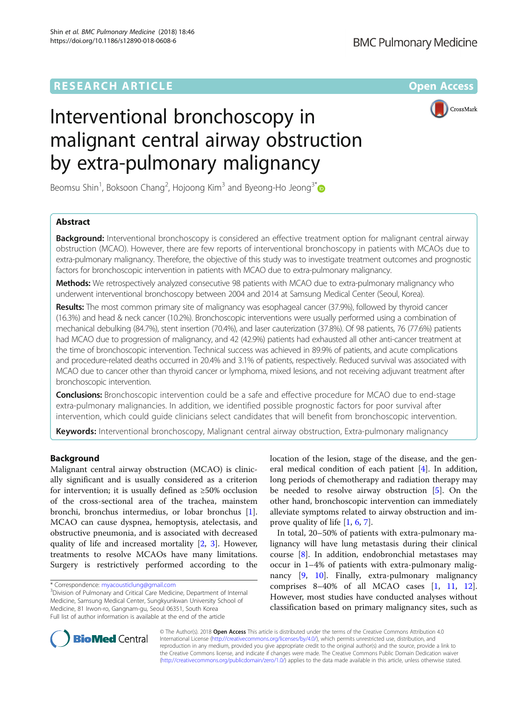CrossMark

# Interventional bronchoscopy in malignant central airway obstruction by extra-pulmonary malignancy

Beomsu Shin<sup>1</sup>, Boksoon Chang<sup>2</sup>, Hojoong Kim<sup>3</sup> and Byeong-Ho Jeong<sup>3[\\*](http://orcid.org/0000-0002-3124-1718)</sup>

# Abstract

**Background:** Interventional bronchoscopy is considered an effective treatment option for malignant central airway obstruction (MCAO). However, there are few reports of interventional bronchoscopy in patients with MCAOs due to extra-pulmonary malignancy. Therefore, the objective of this study was to investigate treatment outcomes and prognostic factors for bronchoscopic intervention in patients with MCAO due to extra-pulmonary malignancy.

Methods: We retrospectively analyzed consecutive 98 patients with MCAO due to extra-pulmonary malignancy who underwent interventional bronchoscopy between 2004 and 2014 at Samsung Medical Center (Seoul, Korea).

Results: The most common primary site of malignancy was esophageal cancer (37.9%), followed by thyroid cancer (16.3%) and head & neck cancer (10.2%). Bronchoscopic interventions were usually performed using a combination of mechanical debulking (84.7%), stent insertion (70.4%), and laser cauterization (37.8%). Of 98 patients, 76 (77.6%) patients had MCAO due to progression of malignancy, and 42 (42.9%) patients had exhausted all other anti-cancer treatment at the time of bronchoscopic intervention. Technical success was achieved in 89.9% of patients, and acute complications and procedure-related deaths occurred in 20.4% and 3.1% of patients, respectively. Reduced survival was associated with MCAO due to cancer other than thyroid cancer or lymphoma, mixed lesions, and not receiving adjuvant treatment after bronchoscopic intervention.

**Conclusions:** Bronchoscopic intervention could be a safe and effective procedure for MCAO due to end-stage extra-pulmonary malignancies. In addition, we identified possible prognostic factors for poor survival after intervention, which could guide clinicians select candidates that will benefit from bronchoscopic intervention.

**Keywords:** Interventional bronchoscopy, Malignant central airway obstruction, Extra-pulmonary malignancy

## Background

Malignant central airway obstruction (MCAO) is clinically significant and is usually considered as a criterion for intervention; it is usually defined as  $\geq 50\%$  occlusion of the cross-sectional area of the trachea, mainstem bronchi, bronchus intermedius, or lobar bronchus [\[1](#page-6-0)]. MCAO can cause dyspnea, hemoptysis, atelectasis, and obstructive pneumonia, and is associated with decreased quality of life and increased mortality [\[2,](#page-6-0) [3\]](#page-6-0). However, treatments to resolve MCAOs have many limitations. Surgery is restrictively performed according to the

location of the lesion, stage of the disease, and the general medical condition of each patient [[4\]](#page-6-0). In addition, long periods of chemotherapy and radiation therapy may be needed to resolve airway obstruction [[5\]](#page-6-0). On the other hand, bronchoscopic intervention can immediately alleviate symptoms related to airway obstruction and improve quality of life [[1](#page-6-0), [6](#page-6-0), [7](#page-6-0)].

In total, 20–50% of patients with extra-pulmonary malignancy will have lung metastasis during their clinical course [[8](#page-6-0)]. In addition, endobronchial metastases may occur in 1–4% of patients with extra-pulmonary malignancy [\[9,](#page-6-0) [10](#page-6-0)]. Finally, extra-pulmonary malignancy comprises 8–40% of all MCAO cases [[1,](#page-6-0) [11,](#page-6-0) [12](#page-6-0)]. However, most studies have conducted analyses without classification based on primary malignancy sites, such as



© The Author(s). 2018 Open Access This article is distributed under the terms of the Creative Commons Attribution 4.0 International License [\(http://creativecommons.org/licenses/by/4.0/](http://creativecommons.org/licenses/by/4.0/)), which permits unrestricted use, distribution, and reproduction in any medium, provided you give appropriate credit to the original author(s) and the source, provide a link to the Creative Commons license, and indicate if changes were made. The Creative Commons Public Domain Dedication waiver [\(http://creativecommons.org/publicdomain/zero/1.0/](http://creativecommons.org/publicdomain/zero/1.0/)) applies to the data made available in this article, unless otherwise stated.

<sup>\*</sup> Correspondence: [myacousticlung@gmail.com](mailto:myacousticlung@gmail.com) <sup>3</sup>

<sup>&</sup>lt;sup>3</sup>Division of Pulmonary and Critical Care Medicine, Department of Internal Medicine, Samsung Medical Center, Sungkyunkwan University School of Medicine, 81 Irwon-ro, Gangnam-gu, Seoul 06351, South Korea Full list of author information is available at the end of the article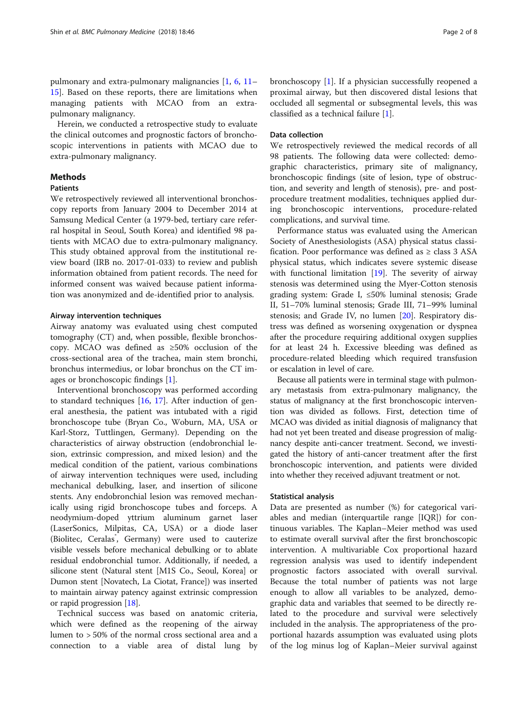pulmonary and extra-pulmonary malignancies [[1,](#page-6-0) [6](#page-6-0), [11](#page-6-0)– [15\]](#page-6-0). Based on these reports, there are limitations when managing patients with MCAO from an extrapulmonary malignancy.

Herein, we conducted a retrospective study to evaluate the clinical outcomes and prognostic factors of bronchoscopic interventions in patients with MCAO due to extra-pulmonary malignancy.

## Methods

## **Patients**

We retrospectively reviewed all interventional bronchoscopy reports from January 2004 to December 2014 at Samsung Medical Center (a 1979-bed, tertiary care referral hospital in Seoul, South Korea) and identified 98 patients with MCAO due to extra-pulmonary malignancy. This study obtained approval from the institutional review board (IRB no. 2017-01-033) to review and publish information obtained from patient records. The need for informed consent was waived because patient information was anonymized and de-identified prior to analysis.

## Airway intervention techniques

Airway anatomy was evaluated using chest computed tomography (CT) and, when possible, flexible bronchoscopy. MCAO was defined as ≥50% occlusion of the cross-sectional area of the trachea, main stem bronchi, bronchus intermedius, or lobar bronchus on the CT images or bronchoscopic findings [[1\]](#page-6-0).

Interventional bronchoscopy was performed according to standard techniques [[16](#page-6-0), [17](#page-6-0)]. After induction of general anesthesia, the patient was intubated with a rigid bronchoscope tube (Bryan Co., Woburn, MA, USA or Karl-Storz, Tuttlingen, Germany). Depending on the characteristics of airway obstruction (endobronchial lesion, extrinsic compression, and mixed lesion) and the medical condition of the patient, various combinations of airway intervention techniques were used, including mechanical debulking, laser, and insertion of silicone stents. Any endobronchial lesion was removed mechanically using rigid bronchoscope tubes and forceps. A neodymium-doped yttrium aluminum garnet laser (LaserSonics, Milpitas, CA, USA) or a diode laser (Biolitec, Ceralas<sup>\*</sup>, Germany) were used to cauterize visible vessels before mechanical debulking or to ablate residual endobronchial tumor. Additionally, if needed, a silicone stent (Natural stent [M1S Co., Seoul, Korea] or Dumon stent [Novatech, La Ciotat, France]) was inserted to maintain airway patency against extrinsic compression or rapid progression [\[18](#page-6-0)].

Technical success was based on anatomic criteria, which were defined as the reopening of the airway lumen to > 50% of the normal cross sectional area and a connection to a viable area of distal lung by bronchoscopy [[1](#page-6-0)]. If a physician successfully reopened a proximal airway, but then discovered distal lesions that occluded all segmental or subsegmental levels, this was classified as a technical failure [\[1](#page-6-0)].

## Data collection

We retrospectively reviewed the medical records of all 98 patients. The following data were collected: demographic characteristics, primary site of malignancy, bronchoscopic findings (site of lesion, type of obstruction, and severity and length of stenosis), pre- and postprocedure treatment modalities, techniques applied during bronchoscopic interventions, procedure-related complications, and survival time.

Performance status was evaluated using the American Society of Anesthesiologists (ASA) physical status classification. Poor performance was defined as  $\geq$  class 3 ASA physical status, which indicates severe systemic disease with functional limitation [[19\]](#page-6-0). The severity of airway stenosis was determined using the Myer-Cotton stenosis grading system: Grade I, ≤50% luminal stenosis; Grade II, 51–70% luminal stenosis; Grade III, 71–99% luminal stenosis; and Grade IV, no lumen [[20\]](#page-6-0). Respiratory distress was defined as worsening oxygenation or dyspnea after the procedure requiring additional oxygen supplies for at least 24 h. Excessive bleeding was defined as procedure-related bleeding which required transfusion or escalation in level of care.

Because all patients were in terminal stage with pulmonary metastasis from extra-pulmonary malignancy, the status of malignancy at the first bronchoscopic intervention was divided as follows. First, detection time of MCAO was divided as initial diagnosis of malignancy that had not yet been treated and disease progression of malignancy despite anti-cancer treatment. Second, we investigated the history of anti-cancer treatment after the first bronchoscopic intervention, and patients were divided into whether they received adjuvant treatment or not.

#### Statistical analysis

Data are presented as number (%) for categorical variables and median (interquartile range [IQR]) for continuous variables. The Kaplan–Meier method was used to estimate overall survival after the first bronchoscopic intervention. A multivariable Cox proportional hazard regression analysis was used to identify independent prognostic factors associated with overall survival. Because the total number of patients was not large enough to allow all variables to be analyzed, demographic data and variables that seemed to be directly related to the procedure and survival were selectively included in the analysis. The appropriateness of the proportional hazards assumption was evaluated using plots of the log minus log of Kaplan–Meier survival against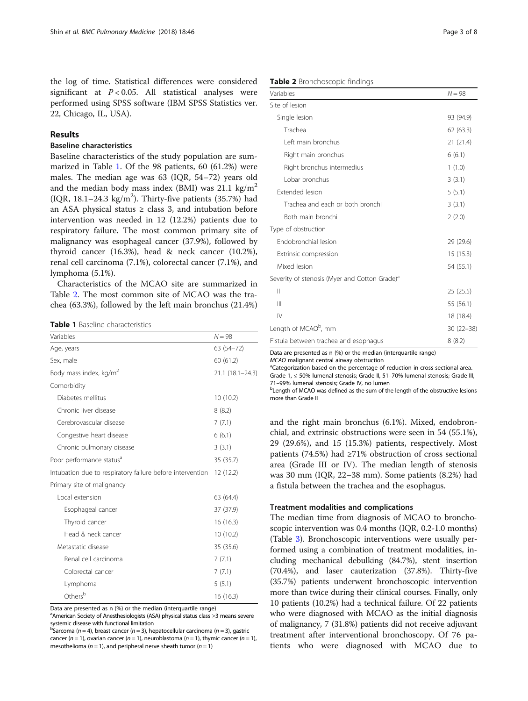the log of time. Statistical differences were considered significant at  $P < 0.05$ . All statistical analyses were performed using SPSS software (IBM SPSS Statistics ver. 22, Chicago, IL, USA).

## Results

## Baseline characteristics

Baseline characteristics of the study population are summarized in Table 1. Of the 98 patients, 60 (61.2%) were males. The median age was 63 (IQR, 54–72) years old and the median body mass index (BMI) was  $21.1 \text{ kg/m}^2$  $(IQR, 18.1–24.3 kg/m<sup>2</sup>)$ . Thirty-five patients  $(35.7%)$  had an ASA physical status  $\geq$  class 3, and intubation before intervention was needed in 12 (12.2%) patients due to respiratory failure. The most common primary site of malignancy was esophageal cancer (37.9%), followed by thyroid cancer (16.3%), head & neck cancer (10.2%), renal cell carcinoma (7.1%), colorectal cancer (7.1%), and lymphoma (5.1%).

Characteristics of the MCAO site are summarized in Table 2. The most common site of MCAO was the trachea (63.3%), followed by the left main bronchus (21.4%)

| <b>Table 1</b> Baseline characteristics |
|-----------------------------------------|
|                                         |

| Variables                                                 | $N = 98$         |
|-----------------------------------------------------------|------------------|
| Age, years                                                | 63 (54-72)       |
| Sex, male                                                 | 60(61.2)         |
| Body mass index, kg/m <sup>2</sup>                        | 21.1 (18.1-24.3) |
| Comorbidity                                               |                  |
| Diabetes mellitus                                         | 10 (10.2)        |
| Chronic liver disease                                     | 8(8.2)           |
| Cerebrovascular disease                                   | 7(7.1)           |
| Congestive heart disease                                  | 6(6.1)           |
| Chronic pulmonary disease                                 | 3(3.1)           |
| Poor performance status <sup>a</sup>                      | 35 (35.7)        |
| Intubation due to respiratory failure before intervention | 12 (12.2)        |
| Primary site of malignancy                                |                  |
| Local extension                                           | 63 (64.4)        |
| Esophageal cancer                                         | 37 (37.9)        |
| Thyroid cancer                                            | 16 (16.3)        |
| Head & neck cancer                                        | 10(10.2)         |
| Metastatic disease                                        | 35 (35.6)        |
| Renal cell carcinoma                                      | 7(7.1)           |
| Colorectal cancer                                         | 7(7.1)           |
| Lymphoma                                                  | 5(5.1)           |
| Others <sup>b</sup>                                       | 16 (16.3)        |

Data are presented as n (%) or the median (interquartile range)

a<br>American Society of Anesthesiologists (ASA) physical status class ≥3 means severe systemic disease with functional limitation <sup>b</sup>

Sarcoma ( $n = 4$ ), breast cancer ( $n = 3$ ), hepatocellular carcinoma ( $n = 3$ ), gastric cancer (n = 1), ovarian cancer (n = 1), neuroblastoma (n = 1), thymic cancer (n = 1). mesothelioma ( $n = 1$ ), and peripheral nerve sheath tumor ( $n = 1$ )

## Table 2 Bronchoscopic findings

| Variables                                                 | $N = 98$      |
|-----------------------------------------------------------|---------------|
| Site of lesion                                            |               |
| Single lesion                                             | 93 (94.9)     |
| Trachea                                                   | 62(63.3)      |
| Left main bronchus                                        | 21(21.4)      |
| Right main bronchus                                       | 6(6.1)        |
| Right bronchus intermedius                                | 1(1.0)        |
| Lobar bronchus                                            | 3(3.1)        |
| Extended lesion                                           | 5(5.1)        |
| Trachea and each or both bronchi                          | 3(3.1)        |
| Both main bronchi                                         | 2(2.0)        |
| Type of obstruction                                       |               |
| Endobronchial lesion                                      | 29 (29.6)     |
| Extrinsic compression                                     | 15 (15.3)     |
| Mixed lesion                                              | 54 (55.1)     |
| Severity of stenosis (Myer and Cotton Grade) <sup>a</sup> |               |
| $\mathbf{  }$                                             | 25(25.5)      |
| $\mathbf{III}$                                            | 55 (56.1)     |
| $\mathsf{IV}$                                             | 18 (18.4)     |
| Length of MCAO <sup>b</sup> , mm                          | $30(22 - 38)$ |
| Fistula between trachea and esophagus                     | 8(8.2)        |
| $\sqrt{2}$                                                |               |

Data are presented as n (%) or the median (interquartile range)

MCAO malignant central airway obstruction

<sup>a</sup>Categorization based on the percentage of reduction in cross-sectional area. Grade 1, ≤ 50% lumenal stenosis; Grade II, 51–70% lumenal stenosis; Grade III, <sup>71</sup>–99% lumenal stenosis; Grade IV, no lumen <sup>b</sup>

<sup>b</sup> Length of MCAO was defined as the sum of the length of the obstructive lesions more than Grade II

and the right main bronchus (6.1%). Mixed, endobronchial, and extrinsic obstructions were seen in 54 (55.1%), 29 (29.6%), and 15 (15.3%) patients, respectively. Most patients (74.5%) had ≥71% obstruction of cross sectional area (Grade III or IV). The median length of stenosis was 30 mm (IQR, 22–38 mm). Some patients (8.2%) had a fistula between the trachea and the esophagus.

## Treatment modalities and complications

The median time from diagnosis of MCAO to bronchoscopic intervention was 0.4 months (IQR, 0.2-1.0 months) (Table [3](#page-3-0)). Bronchoscopic interventions were usually performed using a combination of treatment modalities, including mechanical debulking (84.7%), stent insertion (70.4%), and laser cauterization (37.8%). Thirty-five (35.7%) patients underwent bronchoscopic intervention more than twice during their clinical courses. Finally, only 10 patients (10.2%) had a technical failure. Of 22 patients who were diagnosed with MCAO as the initial diagnosis of malignancy, 7 (31.8%) patients did not receive adjuvant treatment after interventional bronchoscopy. Of 76 patients who were diagnosed with MCAO due to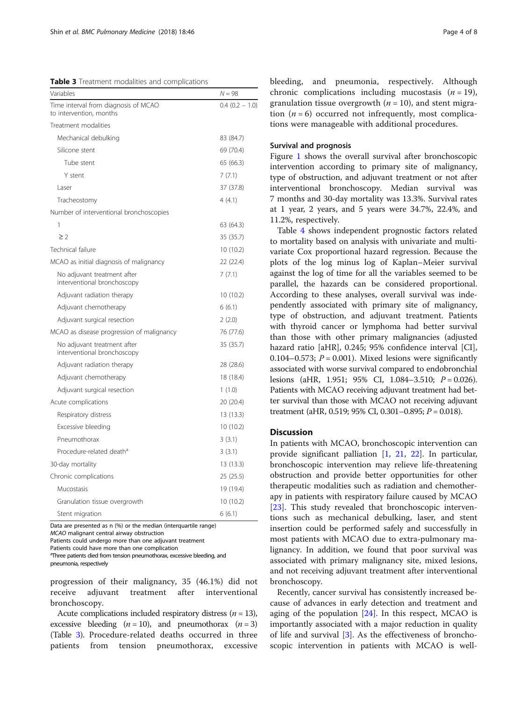<span id="page-3-0"></span>Table 3 Treatment modalities and complications

| Variables                                                       | $N = 98$         |
|-----------------------------------------------------------------|------------------|
| Time interval from diagnosis of MCAO<br>to intervention, months | $0.4(0.2 - 1.0)$ |
| Treatment modalities                                            |                  |
| Mechanical debulking                                            | 83 (84.7)        |
| Silicone stent                                                  | 69 (70.4)        |
| Tube stent                                                      | 65 (66.3)        |
| Y stent                                                         | 7(7.1)           |
| Laser                                                           | 37 (37.8)        |
| Tracheostomy                                                    | 4(4.1)           |
| Number of interventional bronchoscopies                         |                  |
| 1                                                               | 63 (64.3)        |
| $\geq$ 2                                                        | 35 (35.7)        |
| Technical failure                                               | 10 (10.2)        |
| MCAO as initial diagnosis of malignancy                         | 22 (22.4)        |
| No adjuvant treatment after<br>interventional bronchoscopy      | 7(7.1)           |
| Adjuvant radiation therapy                                      | 10 (10.2)        |
| Adjuvant chemotherapy                                           | 6(6.1)           |
| Adjuvant surgical resection                                     | 2(2.0)           |
| MCAO as disease progression of malignancy                       | 76 (77.6)        |
| No adjuvant treatment after<br>interventional bronchoscopy      | 35 (35.7)        |
| Adjuvant radiation therapy                                      | 28 (28.6)        |
| Adjuvant chemotherapy                                           | 18 (18.4)        |
| Adjuvant surgical resection                                     | 1(1.0)           |
| Acute complications                                             | 20 (20.4)        |
| Respiratory distress                                            | 13 (13.3)        |
| Excessive bleeding                                              | 10(10.2)         |
| Pneumothorax                                                    | 3(3.1)           |
| Procedure-related death <sup>a</sup>                            | 3(3.1)           |
| 30-day mortality                                                | 13(13.3)         |
| Chronic complications                                           | 25 (25.5)        |
| Mucostasis                                                      | 19 (19.4)        |
| Granulation tissue overgrowth                                   | 10 (10.2)        |
| Stent migration                                                 | 6(6.1)           |

Data are presented as n (%) or the median (interquartile range)

MCAO malignant central airway obstruction

Patients could undergo more than one adjuvant treatment

Patients could have more than one complication <sup>a</sup>Three patients died from tension pneumothorax, excessive bleeding, and

pneumonia, respectively

progression of their malignancy, 35 (46.1%) did not receive adjuvant treatment after interventional bronchoscopy.

Acute complications included respiratory distress  $(n = 13)$ , excessive bleeding  $(n = 10)$ , and pneumothorax  $(n = 3)$ (Table 3). Procedure-related deaths occurred in three patients from tension pneumothorax, excessive bleeding, and pneumonia, respectively. Although chronic complications including mucostasis  $(n = 19)$ , granulation tissue overgrowth  $(n = 10)$ , and stent migration  $(n = 6)$  occurred not infrequently, most complications were manageable with additional procedures.

## Survival and prognosis

Figure [1](#page-4-0) shows the overall survival after bronchoscopic intervention according to primary site of malignancy, type of obstruction, and adjuvant treatment or not after interventional bronchoscopy. Median survival was 7 months and 30-day mortality was 13.3%. Survival rates at 1 year, 2 years, and 5 years were 34.7%, 22.4%, and 11.2%, respectively.

Table [4](#page-5-0) shows independent prognostic factors related to mortality based on analysis with univariate and multivariate Cox proportional hazard regression. Because the plots of the log minus log of Kaplan–Meier survival against the log of time for all the variables seemed to be parallel, the hazards can be considered proportional. According to these analyses, overall survival was independently associated with primary site of malignancy, type of obstruction, and adjuvant treatment. Patients with thyroid cancer or lymphoma had better survival than those with other primary malignancies (adjusted hazard ratio [aHR], 0.245; 95% confidence interval [CI], 0.104–0.573;  $P = 0.001$ ). Mixed lesions were significantly associated with worse survival compared to endobronchial lesions (aHR, 1.951; 95% CI, 1.084-3.510;  $P = 0.026$ ). Patients with MCAO receiving adjuvant treatment had better survival than those with MCAO not receiving adjuvant treatment (aHR, 0.519; 95% CI, 0.301-0.895;  $P = 0.018$ ).

## **Discussion**

In patients with MCAO, bronchoscopic intervention can provide significant palliation [\[1,](#page-6-0) [21](#page-6-0), [22](#page-6-0)]. In particular, bronchoscopic intervention may relieve life-threatening obstruction and provide better opportunities for other therapeutic modalities such as radiation and chemotherapy in patients with respiratory failure caused by MCAO [[23\]](#page-6-0). This study revealed that bronchoscopic interventions such as mechanical debulking, laser, and stent insertion could be performed safely and successfully in most patients with MCAO due to extra-pulmonary malignancy. In addition, we found that poor survival was associated with primary malignancy site, mixed lesions, and not receiving adjuvant treatment after interventional bronchoscopy.

Recently, cancer survival has consistently increased because of advances in early detection and treatment and aging of the population [\[24\]](#page-6-0). In this respect, MCAO is importantly associated with a major reduction in quality of life and survival [\[3](#page-6-0)]. As the effectiveness of bronchoscopic intervention in patients with MCAO is well-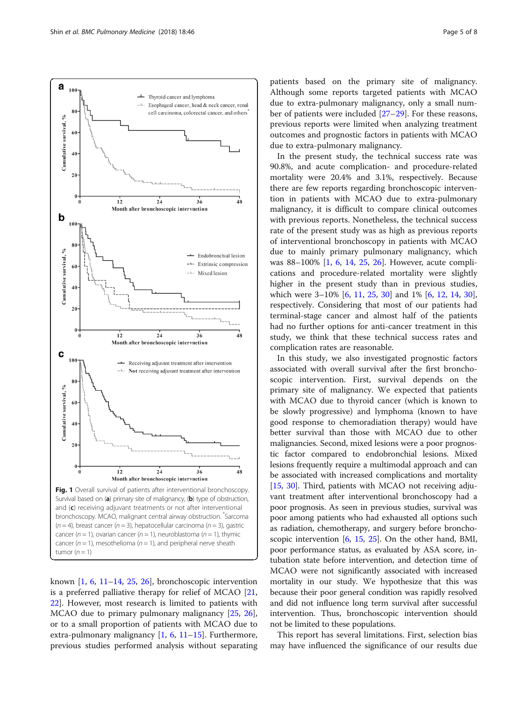<span id="page-4-0"></span>

known  $[1, 6, 11-14, 25, 26]$  $[1, 6, 11-14, 25, 26]$  $[1, 6, 11-14, 25, 26]$  $[1, 6, 11-14, 25, 26]$  $[1, 6, 11-14, 25, 26]$  $[1, 6, 11-14, 25, 26]$  $[1, 6, 11-14, 25, 26]$  $[1, 6, 11-14, 25, 26]$  $[1, 6, 11-14, 25, 26]$  $[1, 6, 11-14, 25, 26]$  $[1, 6, 11-14, 25, 26]$ , bronchoscopic intervention is a preferred palliative therapy for relief of MCAO [[21](#page-6-0), [22\]](#page-6-0). However, most research is limited to patients with MCAO due to primary pulmonary malignancy [[25](#page-6-0), [26](#page-6-0)], or to a small proportion of patients with MCAO due to extra-pulmonary malignancy [\[1](#page-6-0), [6,](#page-6-0) [11](#page-6-0)–[15\]](#page-6-0). Furthermore, previous studies performed analysis without separating patients based on the primary site of malignancy. Although some reports targeted patients with MCAO due to extra-pulmonary malignancy, only a small number of patients were included [[27](#page-6-0)–[29](#page-7-0)]. For these reasons, previous reports were limited when analyzing treatment outcomes and prognostic factors in patients with MCAO due to extra-pulmonary malignancy.

In the present study, the technical success rate was 90.8%, and acute complication- and procedure-related mortality were 20.4% and 3.1%, respectively. Because there are few reports regarding bronchoscopic intervention in patients with MCAO due to extra-pulmonary malignancy, it is difficult to compare clinical outcomes with previous reports. Nonetheless, the technical success rate of the present study was as high as previous reports of interventional bronchoscopy in patients with MCAO due to mainly primary pulmonary malignancy, which was 88–100% [[1,](#page-6-0) [6,](#page-6-0) [14](#page-6-0), [25,](#page-6-0) [26\]](#page-6-0). However, acute complications and procedure-related mortality were slightly higher in the present study than in previous studies, which were 3–10% [[6,](#page-6-0) [11](#page-6-0), [25](#page-6-0), [30\]](#page-7-0) and 1% [[6,](#page-6-0) [12,](#page-6-0) [14,](#page-6-0) [30](#page-7-0)], respectively. Considering that most of our patients had terminal-stage cancer and almost half of the patients had no further options for anti-cancer treatment in this study, we think that these technical success rates and complication rates are reasonable.

In this study, we also investigated prognostic factors associated with overall survival after the first bronchoscopic intervention. First, survival depends on the primary site of malignancy. We expected that patients with MCAO due to thyroid cancer (which is known to be slowly progressive) and lymphoma (known to have good response to chemoradiation therapy) would have better survival than those with MCAO due to other malignancies. Second, mixed lesions were a poor prognostic factor compared to endobronchial lesions. Mixed lesions frequently require a multimodal approach and can be associated with increased complications and mortality [[15](#page-6-0), [30\]](#page-7-0). Third, patients with MCAO not receiving adjuvant treatment after interventional bronchoscopy had a poor prognosis. As seen in previous studies, survival was poor among patients who had exhausted all options such as radiation, chemotherapy, and surgery before bronchoscopic intervention [\[6](#page-6-0), [15,](#page-6-0) [25](#page-6-0)]. On the other hand, BMI, poor performance status, as evaluated by ASA score, intubation state before intervention, and detection time of MCAO were not significantly associated with increased mortality in our study. We hypothesize that this was because their poor general condition was rapidly resolved and did not influence long term survival after successful intervention. Thus, bronchoscopic intervention should not be limited to these populations.

This report has several limitations. First, selection bias may have influenced the significance of our results due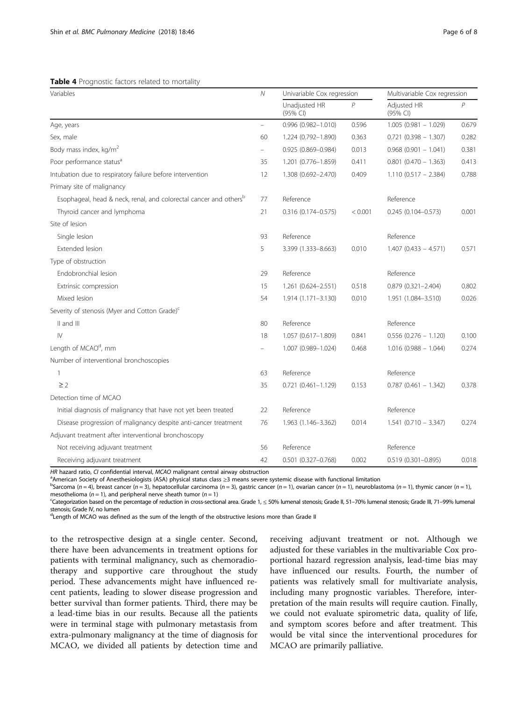<span id="page-5-0"></span>

|  | Table 4 Prognostic factors related to mortality |  |  |  |  |  |
|--|-------------------------------------------------|--|--|--|--|--|
|--|-------------------------------------------------|--|--|--|--|--|

| Variables                                                                     |                          | Univariable Cox regression |              | Multivariable Cox regression |       |
|-------------------------------------------------------------------------------|--------------------------|----------------------------|--------------|------------------------------|-------|
|                                                                               |                          | Unadjusted HR<br>(95% CI)  | $\mathcal P$ | Adjusted HR<br>(95% CI)      | P     |
| Age, years                                                                    | $\overline{\phantom{0}}$ | 0.996 (0.982-1.010)        | 0.596        | $1.005(0.981 - 1.029)$       | 0.679 |
| Sex, male                                                                     | 60                       | 1.224 (0.792-1.890)        | 0.363        | $0.721(0.398 - 1.307)$       | 0.282 |
| Body mass index, kg/m <sup>2</sup>                                            | $\qquad \qquad -$        | $0.925(0.869 - 0.984)$     | 0.013        | $0.968$ (0.901 - 1.041)      | 0.381 |
| Poor performance status <sup>a</sup>                                          | 35                       | 1.201 (0.776-1.859)        | 0.411        | $0.801$ $(0.470 - 1.363)$    | 0.413 |
| Intubation due to respiratory failure before intervention                     | 12                       | 1.308 (0.692-2.470)        | 0.409        | $1.110(0.517 - 2.384)$       | 0.788 |
| Primary site of malignancy                                                    |                          |                            |              |                              |       |
| Esophageal, head & neck, renal, and colorectal cancer and others <sup>b</sup> | 77                       | Reference                  |              | Reference                    |       |
| Thyroid cancer and lymphoma                                                   | 21                       | 0.316 (0.174-0.575)        | < 0.001      | $0.245(0.104 - 0.573)$       | 0.001 |
| Site of lesion                                                                |                          |                            |              |                              |       |
| Single lesion                                                                 | 93                       | Reference                  |              | Reference                    |       |
| Extended lesion                                                               | 5                        | 3.399 (1.333-8.663)        | 0.010        | $1.407(0.433 - 4.571)$       | 0.571 |
| Type of obstruction                                                           |                          |                            |              |                              |       |
| Endobronchial lesion                                                          | 29                       | Reference                  |              | Reference                    |       |
| Extrinsic compression                                                         | 15                       | 1.261 (0.624-2.551)        | 0.518        | 0.879 (0.321-2.404)          | 0.802 |
| Mixed lesion                                                                  | 54                       | 1.914 (1.171-3.130)        | 0.010        | 1.951 (1.084-3.510)          | 0.026 |
| Severity of stenosis (Myer and Cotton Grade) <sup>c</sup>                     |                          |                            |              |                              |       |
| II and III                                                                    | 80                       | Reference                  |              | Reference                    |       |
| $\mathsf{IV}$                                                                 | 18                       | 1.057 (0.617-1.809)        | 0.841        | $0.556$ (0.276 - 1.120)      | 0.100 |
| Length of MCAO <sup>d</sup> , mm                                              | $\overline{\phantom{0}}$ | 1.007 (0.989-1.024)        | 0.468        | $1.016(0.988 - 1.044)$       | 0.274 |
| Number of interventional bronchoscopies                                       |                          |                            |              |                              |       |
| 1                                                                             | 63                       | Reference                  |              | Reference                    |       |
| $\geq$ 2                                                                      | 35                       | $0.721(0.461 - 1.129)$     | 0.153        | $0.787(0.461 - 1.342)$       | 0.378 |
| Detection time of MCAO                                                        |                          |                            |              |                              |       |
| Initial diagnosis of malignancy that have not yet been treated                | 22                       | Reference                  |              | Reference                    |       |
| Disease progression of malignancy despite anti-cancer treatment               | 76                       | 1.963 (1.146-3.362)        | 0.014        | $1.541(0.710 - 3.347)$       | 0.274 |
| Adjuvant treatment after interventional bronchoscopy                          |                          |                            |              |                              |       |
| Not receiving adjuvant treatment                                              | 56                       | Reference                  |              | Reference                    |       |
| Receiving adjuvant treatment                                                  | 42                       | 0.501 (0.327-0.768)        | 0.002        | $0.519(0.301 - 0.895)$       | 0.018 |

HR hazard ratio, CI confidential interval, MCAO malignant central airway obstruction

aMerican Society of Anesthesiologists (ASA) physical status class ≥3 means severe systemic disease with functional limitation

 $b$ Sarcoma (n = 4), breast cancer (n = 3), hepatocellular carcinoma (n = 3), gastric cancer (n = 1), ovarian cancer (n = 1), neuroblastoma (n = 1), thymic cancer (n = 1), mesothelioma ( $n = 1$ ), and peripheral nerve sheath tumor ( $n = 1$ )

Categorization based on the percentage of reduction in cross-sectional area. Grade 1, ≤ 50% lumenal stenosis; Grade II, 51–70% lumenal stenosis; Grade III, 71–99% lumenal stenosis; Grade IV, no lumen

<sup>d</sup>Length of MCAO was defined as the sum of the length of the obstructive lesions more than Grade II

to the retrospective design at a single center. Second, there have been advancements in treatment options for patients with terminal malignancy, such as chemoradiotherapy and supportive care throughout the study period. These advancements might have influenced recent patients, leading to slower disease progression and better survival than former patients. Third, there may be a lead-time bias in our results. Because all the patients were in terminal stage with pulmonary metastasis from extra-pulmonary malignancy at the time of diagnosis for MCAO, we divided all patients by detection time and

receiving adjuvant treatment or not. Although we adjusted for these variables in the multivariable Cox proportional hazard regression analysis, lead-time bias may have influenced our results. Fourth, the number of patients was relatively small for multivariate analysis, including many prognostic variables. Therefore, interpretation of the main results will require caution. Finally, we could not evaluate spirometric data, quality of life, and symptom scores before and after treatment. This would be vital since the interventional procedures for MCAO are primarily palliative.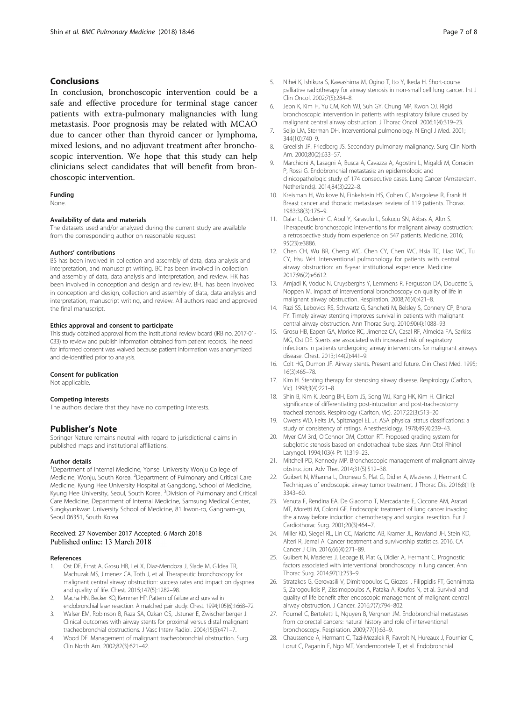## <span id="page-6-0"></span>Conclusions

In conclusion, bronchoscopic intervention could be a safe and effective procedure for terminal stage cancer patients with extra-pulmonary malignancies with lung metastasis. Poor prognosis may be related with MCAO due to cancer other than thyroid cancer or lymphoma, mixed lesions, and no adjuvant treatment after bronchoscopic intervention. We hope that this study can help clinicians select candidates that will benefit from bronchoscopic intervention.

#### Funding

None.

#### Availability of data and materials

The datasets used and/or analyzed during the current study are available from the corresponding author on reasonable request.

#### Authors' contributions

BS has been involved in collection and assembly of data, data analysis and interpretation, and manuscript writing. BC has been involved in collection and assembly of data, data analysis and interpretation, and review. HK has been involved in conception and design and review. BHJ has been involved in conception and design, collection and assembly of data, data analysis and interpretation, manuscript writing, and review. All authors read and approved the final manuscript.

#### Ethics approval and consent to participate

This study obtained approval from the institutional review board (IRB no. 2017-01- 033) to review and publish information obtained from patient records. The need for informed consent was waived because patient information was anonymized and de-identified prior to analysis.

#### Consent for publication

Not applicable.

#### Competing interests

The authors declare that they have no competing interests.

## Publisher's Note

Springer Nature remains neutral with regard to jurisdictional claims in published maps and institutional affiliations.

#### Author details

<sup>1</sup>Department of Internal Medicine, Yonsei University Wonju College of Medicine, Wonju, South Korea. <sup>2</sup>Department of Pulmonary and Critical Care Medicine, Kyung Hee University Hospital at Gangdong, School of Medicine, Kyung Hee University, Seoul, South Korea. <sup>3</sup>Division of Pulmonary and Critical Care Medicine, Department of Internal Medicine, Samsung Medical Center, Sungkyunkwan University School of Medicine, 81 Irwon-ro, Gangnam-gu, Seoul 06351, South Korea.

## Received: 27 November 2017 Accepted: 6 March 2018 Published online: 13 March 2018

#### References

- 1. Ost DE, Ernst A, Grosu HB, Lei X, Diaz-Mendoza J, Slade M, Gildea TR, Machuzak MS, Jimenez CA, Toth J, et al. Therapeutic bronchoscopy for malignant central airway obstruction: success rates and impact on dyspnea and quality of life. Chest. 2015;147(5):1282–98.
- 2. Macha HN, Becker KO, Kemmer HP. Pattern of failure and survival in endobronchial laser resection. A matched pair study. Chest. 1994;105(6):1668–72.
- 3. Walser EM, Robinson B, Raza SA, Ozkan OS, Ustuner E, Zwischenberger J. Clinical outcomes with airway stents for proximal versus distal malignant tracheobronchial obstructions. J Vasc Interv Radiol. 2004;15(5):471–7.
- 4. Wood DE. Management of malignant tracheobronchial obstruction. Surg Clin North Am. 2002;82(3):621–42.
- 5. Nihei K, Ishikura S, Kawashima M, Ogino T, Ito Y, Ikeda H. Short-course palliative radiotherapy for airway stenosis in non-small cell lung cancer. Int J Clin Oncol. 2002;7(5):284–8.
- 6. Jeon K, Kim H, Yu CM, Koh WJ, Suh GY, Chung MP, Kwon OJ. Rigid bronchoscopic intervention in patients with respiratory failure caused by malignant central airway obstruction. J Thorac Oncol. 2006;1(4):319–23.
- 7. Seijo LM, Sterman DH. Interventional pulmonology. N Engl J Med. 2001; 344(10):740–9.
- 8. Greelish JP, Friedberg JS. Secondary pulmonary malignancy. Surg Clin North Am. 2000;80(2):633–57.
- 9. Marchioni A, Lasagni A, Busca A, Cavazza A, Agostini L, Migaldi M, Corradini P, Rossi G. Endobronchial metastasis: an epidemiologic and clinicopathologic study of 174 consecutive cases. Lung Cancer (Amsterdam, Netherlands). 2014;84(3):222–8.
- 10. Kreisman H, Wolkove N, Finkelstein HS, Cohen C, Margolese R, Frank H. Breast cancer and thoracic metastases: review of 119 patients. Thorax. 1983;38(3):175–9.
- 11. Dalar L, Ozdemir C, Abul Y, Karasulu L, Sokucu SN, Akbas A, Altn S. Therapeutic bronchoscopic interventions for malignant airway obstruction: a retrospective study from experience on 547 patients. Medicine. 2016; 95(23):e3886.
- 12. Chen CH, Wu BR, Cheng WC, Chen CY, Chen WC, Hsia TC, Liao WC, Tu CY, Hsu WH. Interventional pulmonology for patients with central airway obstruction: an 8-year institutional experience. Medicine. 2017;96(2):e5612.
- 13. Amjadi K, Voduc N, Cruysberghs Y, Lemmens R, Fergusson DA, Doucette S, Noppen M. Impact of interventional bronchoscopy on quality of life in malignant airway obstruction. Respiration. 2008;76(4):421–8.
- 14. Razi SS, Lebovics RS, Schwartz G, Sancheti M, Belsley S, Connery CP, Bhora FY. Timely airway stenting improves survival in patients with malignant central airway obstruction. Ann Thorac Surg. 2010;90(4):1088–93.
- 15. Grosu HB, Eapen GA, Morice RC, Jimenez CA, Casal RF, Almeida FA, Sarkiss MG, Ost DE. Stents are associated with increased risk of respiratory infections in patients undergoing airway interventions for malignant airways disease. Chest. 2013;144(2):441–9.
- 16. Colt HG, Dumon JF. Airway stents. Present and future. Clin Chest Med. 1995; 16(3):465–78.
- 17. Kim H. Stenting therapy for stenosing airway disease. Respirology (Carlton, Vic). 1998;3(4):221–8.
- 18. Shin B, Kim K, Jeong BH, Eom JS, Song WJ, Kang HK, Kim H. Clinical significance of differentiating post-intubation and post-tracheostomy tracheal stenosis. Respirology (Carlton, Vic). 2017;22(3):513–20.
- 19. Owens WD, Felts JA, Spitznagel EL Jr. ASA physical status classifications: a study of consistency of ratings. Anesthesiology. 1978;49(4):239–43.
- 20. Myer CM 3rd, O'Connor DM, Cotton RT. Proposed grading system for subglottic stenosis based on endotracheal tube sizes. Ann Otol Rhinol Laryngol. 1994;103(4 Pt 1):319–23.
- 21. Mitchell PD, Kennedy MP. Bronchoscopic management of malignant airway obstruction. Adv Ther. 2014;31(5):512–38.
- 22. Guibert N, Mhanna L, Droneau S, Plat G, Didier A, Mazieres J, Hermant C. Techniques of endoscopic airway tumor treatment. J Thorac Dis. 2016;8(11): 3343–60.
- 23. Venuta F, Rendina EA, De Giacomo T, Mercadante E, Ciccone AM, Aratari MT, Moretti M, Coloni GF. Endoscopic treatment of lung cancer invading the airway before induction chemotherapy and surgical resection. Eur J Cardiothorac Surg. 2001;20(3):464–7.
- 24. Miller KD, Siegel RL, Lin CC, Mariotto AB, Kramer JL, Rowland JH, Stein KD, Alteri R, Jemal A. Cancer treatment and survivorship statistics, 2016. CA Cancer J Clin. 2016;66(4):271–89.
- 25. Guibert N, Mazieres J, Lepage B, Plat G, Didier A, Hermant C. Prognostic factors associated with interventional bronchoscopy in lung cancer. Ann Thorac Surg. 2014;97(1):253–9.
- 26. Stratakos G, Gerovasili V, Dimitropoulos C, Giozos I, Filippidis FT, Gennimata S, Zarogoulidis P, Zissimopoulos A, Pataka A, Koufos N, et al. Survival and quality of life benefit after endoscopic management of malignant central airway obstruction. J Cancer. 2016;7(7):794–802.
- 27. Fournel C, Bertoletti L, Nguyen B, Vergnon JM. Endobronchial metastases from colorectal cancers: natural history and role of interventional bronchoscopy. Respiration. 2009;77(1):63–9.
- 28. Chaussende A, Hermant C, Tazi-Mezalek R, Favrolt N, Hureaux J, Fournier C, Lorut C, Paganin F, Ngo MT, Vandemoortele T, et al. Endobronchial